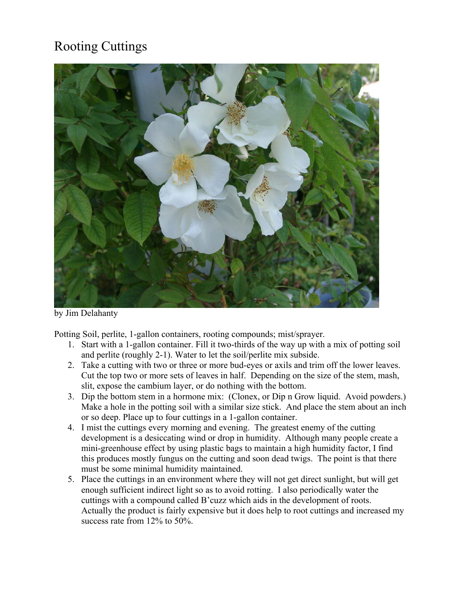## Rooting Cuttings



by Jim Delahanty

Potting Soil, perlite, 1-gallon containers, rooting compounds; mist/sprayer.

- 1. Start with a 1-gallon container. Fill it two-thirds of the way up with a mix of potting soil and perlite (roughly 2-1). Water to let the soil/perlite mix subside.
- 2. Take a cutting with two or three or more bud-eyes or axils and trim off the lower leaves. Cut the top two or more sets of leaves in half. Depending on the size of the stem, mash, slit, expose the cambium layer, or do nothing with the bottom.
- 3. Dip the bottom stem in a hormone mix: (Clonex, or Dip n Grow liquid. Avoid powders.) Make a hole in the potting soil with a similar size stick. And place the stem about an inch or so deep. Place up to four cuttings in a 1-gallon container.
- 4. I mist the cuttings every morning and evening. The greatest enemy of the cutting development is a desiccating wind or drop in humidity. Although many people create a mini-greenhouse effect by using plastic bags to maintain a high humidity factor, I find this produces mostly fungus on the cutting and soon dead twigs. The point is that there must be some minimal humidity maintained.
- 5. Place the cuttings in an environment where they will not get direct sunlight, but will get enough sufficient indirect light so as to avoid rotting. I also periodically water the cuttings with a compound called B'cuzz which aids in the development of roots. Actually the product is fairly expensive but it does help to root cuttings and increased my success rate from 12% to 50%.